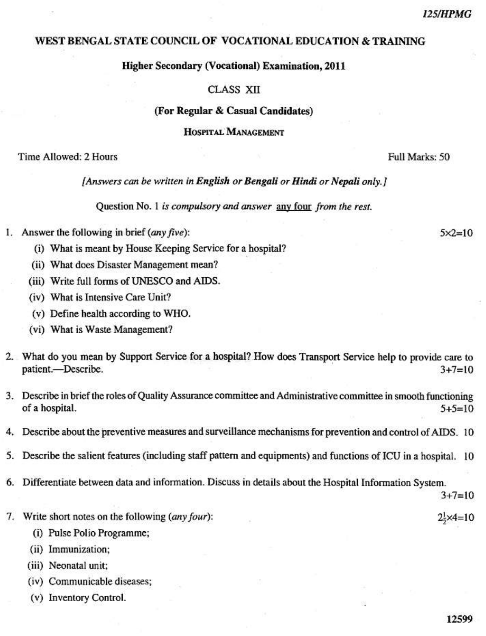## WEST BENGAL STATE COUNCIL OF VOCATIONAL EDUCATION & TRAINING

**Higher Secondary (Vocational) Examination, 2011** 

## **CLASS XII**

## (For Regular & Casual Candidates)

#### HOSPITAL MANAGEMENT

Time Allowed: 2 Hours

[Answers can be written in English or Bengali or Hindi or Nepali only.]

Question No. 1 is compulsory and answer any four from the rest.

- 1. Answer the following in brief  $(\textit{any five})$ :
	- (i) What is meant by House Keeping Service for a hospital?
	- (ii) What does Disaster Management mean?
	- (iii) Write full forms of UNESCO and AIDS.
	- (iv) What is Intensive Care Unit?
	- (v) Define health according to WHO.
	- (vi) What is Waste Management?
- 2. What do you mean by Support Service for a hospital? How does Transport Service help to provide care to patient.-Describe.  $3 + 7 = 10$
- 3. Describe in brief the roles of Quality Assurance committee and Administrative committee in smooth functioning of a hospital.  $5+5=10$
- 4. Describe about the preventive measures and surveillance mechanisms for prevention and control of AIDS. 10
- Describe the salient features (including staff pattern and equipments) and functions of ICU in a hospital. 10 5.
- 6. Differentiate between data and information. Discuss in details about the Hospital Information System.

 $3 + 7 = 10$ 

 $2\frac{1}{2} \times 4 = 10$ 

- 7. Write short notes on the following (any four):
	- (i) Pulse Polio Programme;
	- (ii) Immunization;
	- (iii) Neonatal unit;
	- (iv) Communicable diseases;
	- (v) Inventory Control.

Full Marks: 50

 $5 \times 2 = 10$